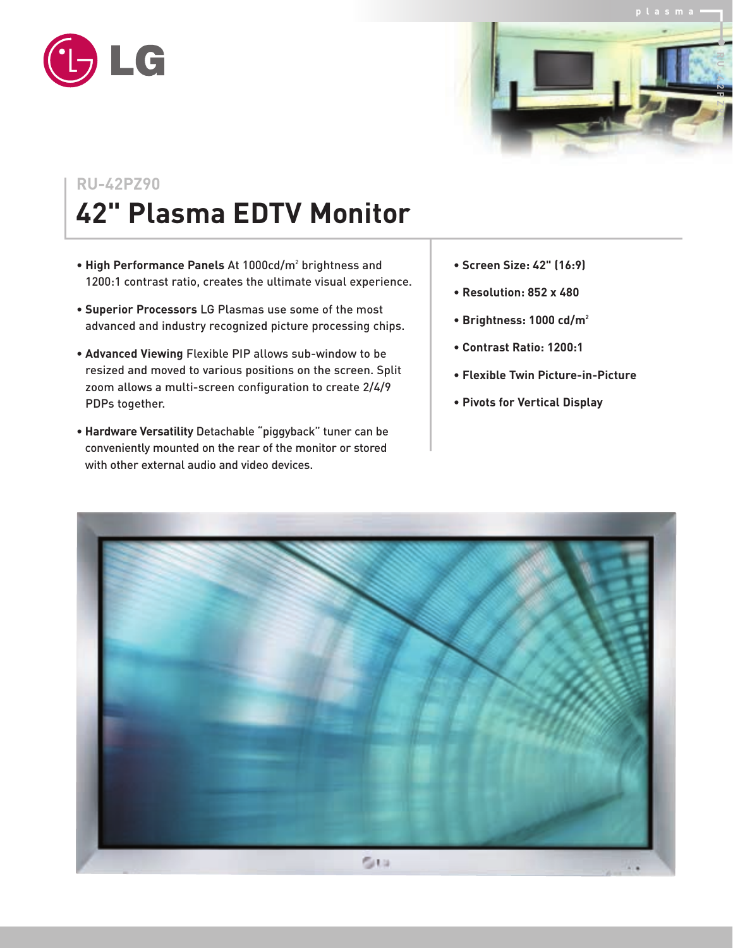



## **RU-42PZ90 42" Plasma EDTV Monitor**

- **High Performance Panels** At 1000cd/m2 brightness and 1200:1 contrast ratio, creates the ultimate visual experience.
- **Superior Processors** LG Plasmas use some of the most advanced and industry recognized picture processing chips.
- **Advanced Viewing** Flexible PIP allows sub-window to be resized and moved to various positions on the screen. Split zoom allows a multi-screen configuration to create 2/4/9 PDPs together.
- **Hardware Versatility** Detachable "piggyback" tuner can be conveniently mounted on the rear of the monitor or stored with other external audio and video devices.
- **Screen Size: 42" (16:9)**
- **Resolution: 852 x 480**
- **Brightness: 1000 cd/m2**
- **Contrast Ratio: 1200:1**
- **Flexible Twin Picture-in-Picture**
- **Pivots for Vertical Display**